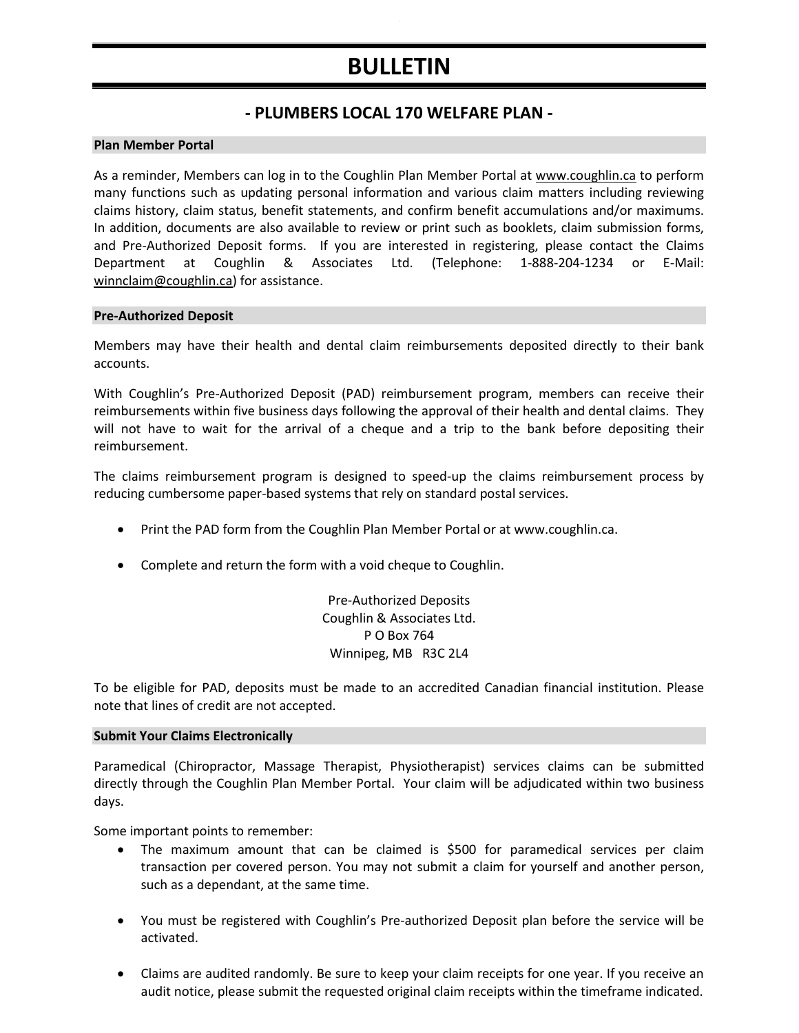# **BULLETIN**

# **- PLUMBERS LOCAL 170 WELFARE PLAN -**

#### **Plan Member Portal**

As a reminder, Members can log in to the Coughlin Plan Member Portal at www.coughlin.ca to perform many functions such as updating personal information and various claim matters including reviewing claims history, claim status, benefit statements, and confirm benefit accumulations and/or maximums. In addition, documents are also available to review or print such as booklets, claim submission forms, and Pre-Authorized Deposit forms. If you are interested in registering, please contact the Claims Department at Coughlin & Associates Ltd. (Telephone: 1-888-204-1234 or E-Mail: [winnclaim@coughlin.ca](mailto:winnclaim@coughlin.ca)) for assistance.

#### **Pre-Authorized Deposit**

Members may have their health and dental claim reimbursements deposited directly to their bank accounts.

With Coughlin's Pre-Authorized Deposit (PAD) reimbursement program, members can receive their reimbursements within five business days following the approval of their health and dental claims. They will not have to wait for the arrival of a cheque and a trip to the bank before depositing their reimbursement.

The claims reimbursement program is designed to speed-up the claims reimbursement process by reducing cumbersome paper-based systems that rely on standard postal services.

- Print the PAD form from the Coughlin Plan Member Portal or at www.coughlin.ca.
- Complete and return the form with a void cheque to Coughlin.

Pre-Authorized Deposits Coughlin & Associates Ltd. P O Box 764 Winnipeg, MB R3C 2L4

To be eligible for PAD, deposits must be made to an accredited Canadian financial institution. Please note that lines of credit are not accepted.

#### **Submit Your Claims Electronically**

Paramedical (Chiropractor, Massage Therapist, Physiotherapist) services claims can be submitted directly through the Coughlin Plan Member Portal. Your claim will be adjudicated within two business days.

Some important points to remember:

- The maximum amount that can be claimed is \$500 for paramedical services per claim transaction per covered person. You may not submit a claim for yourself and another person, such as a dependant, at the same time.
- You must be registered with Coughlin's Pre-authorized Deposit plan before the service will be activated.
- Claims are audited randomly. Be sure to keep your claim receipts for one year. If you receive an audit notice, please submit the requested original claim receipts within the timeframe indicated.